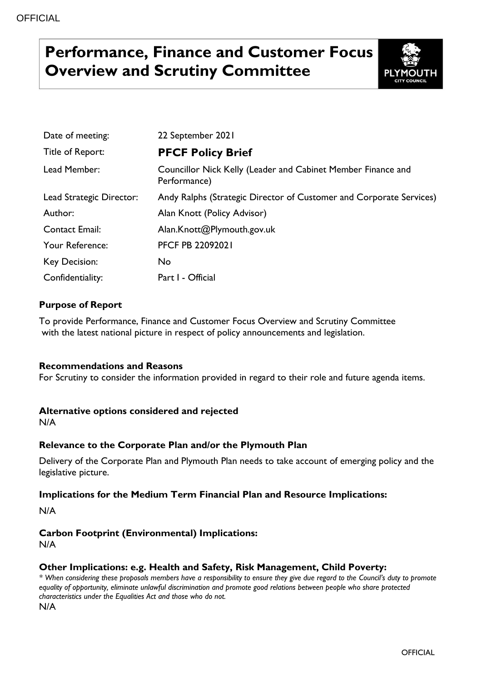# **Performance, Finance and Customer Focus Overview and Scrutiny Committee**



| Date of meeting:         | 22 September 2021                                                            |
|--------------------------|------------------------------------------------------------------------------|
| Title of Report:         | <b>PFCF Policy Brief</b>                                                     |
| Lead Member:             | Councillor Nick Kelly (Leader and Cabinet Member Finance and<br>Performance) |
| Lead Strategic Director: | Andy Ralphs (Strategic Director of Customer and Corporate Services)          |
| Author:                  | Alan Knott (Policy Advisor)                                                  |
| <b>Contact Email:</b>    | Alan.Knott@Plymouth.gov.uk                                                   |
| Your Reference:          | <b>PFCF PB 22092021</b>                                                      |
| Key Decision:            | No.                                                                          |
| Confidentiality:         | Part I - Official                                                            |

### **Purpose of Report**

To provide Performance, Finance and Customer Focus Overview and Scrutiny Committee with the latest national picture in respect of policy announcements and legislation.

### **Recommendations and Reasons**

For Scrutiny to consider the information provided in regard to their role and future agenda items.

### **Alternative options considered and rejected**

N/A

### **Relevance to the Corporate Plan and/or the Plymouth Plan**

Delivery of the Corporate Plan and Plymouth Plan needs to take account of emerging policy and the legislative picture.

### **Implications for the Medium Term Financial Plan and Resource Implications:**

N/A

# **Carbon Footprint (Environmental) Implications:**

N/A

### **Other Implications: e.g. Health and Safety, Risk Management, Child Poverty:**

*\* When considering these proposals members have a responsibility to ensure they give due regard to the Council's duty to promote equality of opportunity, eliminate unlawful discrimination and promote good relations between people who share protected characteristics under the Equalities Act and those who do not.* N/A